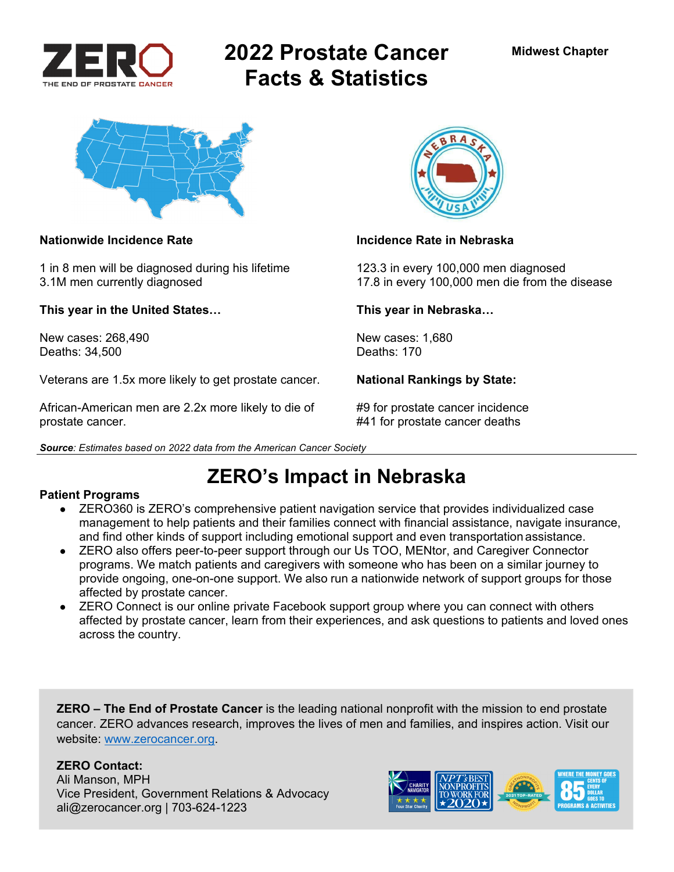

# **2022 Prostate Cancer Facts & Statistics**



1 in 8 men will be diagnosed during his lifetime 123.3 in every 100,000 men diagnosed

**This year in the United States… This year in Nebraska…** 

New cases: 268,490 New cases: 1,680<br>Deaths: 34.500 Deaths: 170 Deaths: 34,500

Veterans are 1.5x more likely to get prostate cancer. **National Rankings by State:** 

African-American men are 2.2x more likely to die of #9 for prostate cancer incidence prostate cancer. #41 for prostate cancer deaths





### **Nationwide Incidence Rate Incidence Rate in Nebraska**

3.1M men currently diagnosed 17.8 in every 100,000 men die from the disease

# **ZERO's Impact in Nebraska**

### **Patient Programs**

- ZERO360 is ZERO's comprehensive patient navigation service that provides individualized case management to help patients and their families connect with financial assistance, navigate insurance, and find other kinds of support including emotional support and even transportation assistance.
- ZERO also offers peer-to-peer support through our Us TOO, MENtor, and Caregiver Connector programs. We match patients and caregivers with someone who has been on a similar journey to provide ongoing, one-on-one support. We also run a nationwide network of support groups for those affected by prostate cancer.
- ZERO Connect is our online private Facebook support group where you can connect with others affected by prostate cancer, learn from their experiences, and ask questions to patients and loved ones across the country.

**ZERO – The End of Prostate Cancer** is the leading national nonprofit with the mission to end prostate cancer. ZERO advances research, improves the lives of men and families, and inspires action. Visit our website: www.zerocancer.org.

## **ZERO Contact:**

Ali Manson, MPH Vice President, Government Relations & Advocacy ali@zerocancer.org | 703-624-1223